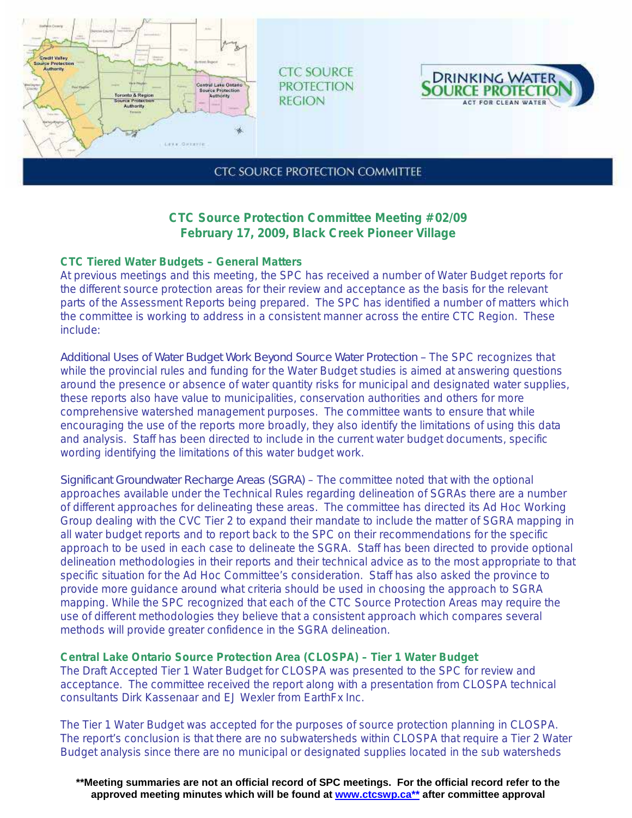

**CTC SOURCE PROTECTION REGION** 



**CTC SOURCE PROTECTION COMMITTEE** 

## **CTC Source Protection Committee Meeting #02/09 February 17, 2009, Black Creek Pioneer Village**

## **CTC Tiered Water Budgets – General Matters**

At previous meetings and this meeting, the SPC has received a number of Water Budget reports for the different source protection areas for their review and acceptance as the basis for the relevant parts of the Assessment Reports being prepared. The SPC has identified a number of matters which the committee is working to address in a consistent manner across the entire CTC Region. These include:

*Additional Uses of Water Budget Work Beyond Source Water Protection –* The SPC recognizes that while the provincial rules and funding for the Water Budget studies is aimed at answering questions around the presence or absence of water quantity risks for municipal and designated water supplies, these reports also have value to municipalities, conservation authorities and others for more comprehensive watershed management purposes. The committee wants to ensure that while encouraging the use of the reports more broadly, they also identify the limitations of using this data and analysis. Staff has been directed to include in the current water budget documents, specific wording identifying the limitations of this water budget work.

*Significant Groundwater Recharge Areas (SGRA)* – The committee noted that with the optional approaches available under the Technical Rules regarding delineation of SGRAs there are a number of different approaches for delineating these areas. The committee has directed its Ad Hoc Working Group dealing with the CVC Tier 2 to expand their mandate to include the matter of SGRA mapping in all water budget reports and to report back to the SPC on their recommendations for the specific approach to be used in each case to delineate the SGRA. Staff has been directed to provide optional delineation methodologies in their reports and their technical advice as to the most appropriate to that specific situation for the Ad Hoc Committee's consideration. Staff has also asked the province to provide more guidance around what criteria should be used in choosing the approach to SGRA mapping. While the SPC recognized that each of the CTC Source Protection Areas may require the use of different methodologies they believe that a consistent approach which compares several methods will provide greater confidence in the SGRA delineation.

**Central Lake Ontario Source Protection Area (CLOSPA) – Tier 1 Water Budget**  The Draft Accepted Tier 1 Water Budget for CLOSPA was presented to the SPC for review and acceptance. The committee received the report along with a presentation from CLOSPA technical consultants Dirk Kassenaar and EJ Wexler from EarthFx Inc.

The Tier 1 Water Budget was accepted for the purposes of source protection planning in CLOSPA. The report's conclusion is that there are no subwatersheds within CLOSPA that require a Tier 2 Water Budget analysis since there are no municipal or designated supplies located in the sub watersheds

**\*\*Meeting summaries are not an official record of SPC meetings. For the official record refer to the approved meeting minutes which will be found at www.ctcswp.ca\*\* after committee approval**